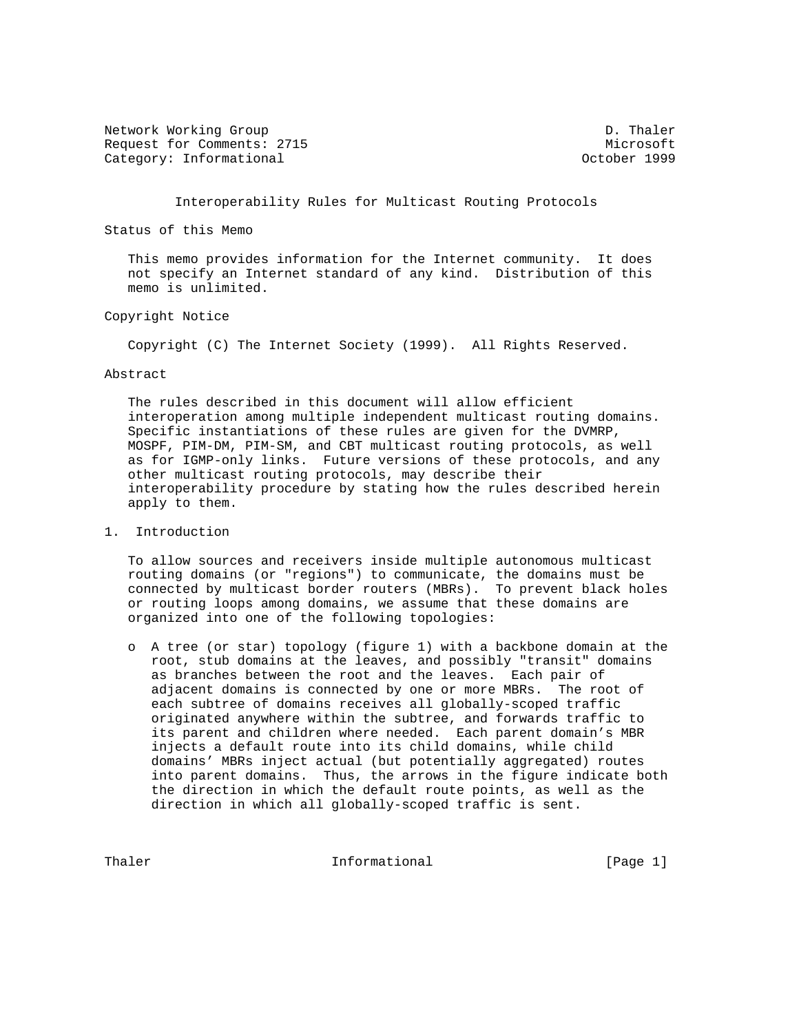Network Working Group Decree 2012 12:00 Network D. Thaler Request for Comments: 2715 Microsoft Category: Informational and Category: Category: Category: Category: Category: Category: Category: Category: Category: Category: Category: Category: Category: Category: Category: Category: Category: Category: Category: Cate

Interoperability Rules for Multicast Routing Protocols

Status of this Memo

 This memo provides information for the Internet community. It does not specify an Internet standard of any kind. Distribution of this memo is unlimited.

## Copyright Notice

Copyright (C) The Internet Society (1999). All Rights Reserved.

#### Abstract

 The rules described in this document will allow efficient interoperation among multiple independent multicast routing domains. Specific instantiations of these rules are given for the DVMRP, MOSPF, PIM-DM, PIM-SM, and CBT multicast routing protocols, as well as for IGMP-only links. Future versions of these protocols, and any other multicast routing protocols, may describe their interoperability procedure by stating how the rules described herein apply to them.

1. Introduction

 To allow sources and receivers inside multiple autonomous multicast routing domains (or "regions") to communicate, the domains must be connected by multicast border routers (MBRs). To prevent black holes or routing loops among domains, we assume that these domains are organized into one of the following topologies:

 o A tree (or star) topology (figure 1) with a backbone domain at the root, stub domains at the leaves, and possibly "transit" domains as branches between the root and the leaves. Each pair of adjacent domains is connected by one or more MBRs. The root of each subtree of domains receives all globally-scoped traffic originated anywhere within the subtree, and forwards traffic to its parent and children where needed. Each parent domain's MBR injects a default route into its child domains, while child domains' MBRs inject actual (but potentially aggregated) routes into parent domains. Thus, the arrows in the figure indicate both the direction in which the default route points, as well as the direction in which all globally-scoped traffic is sent.

Thaler **Informational** Informational [Page 1]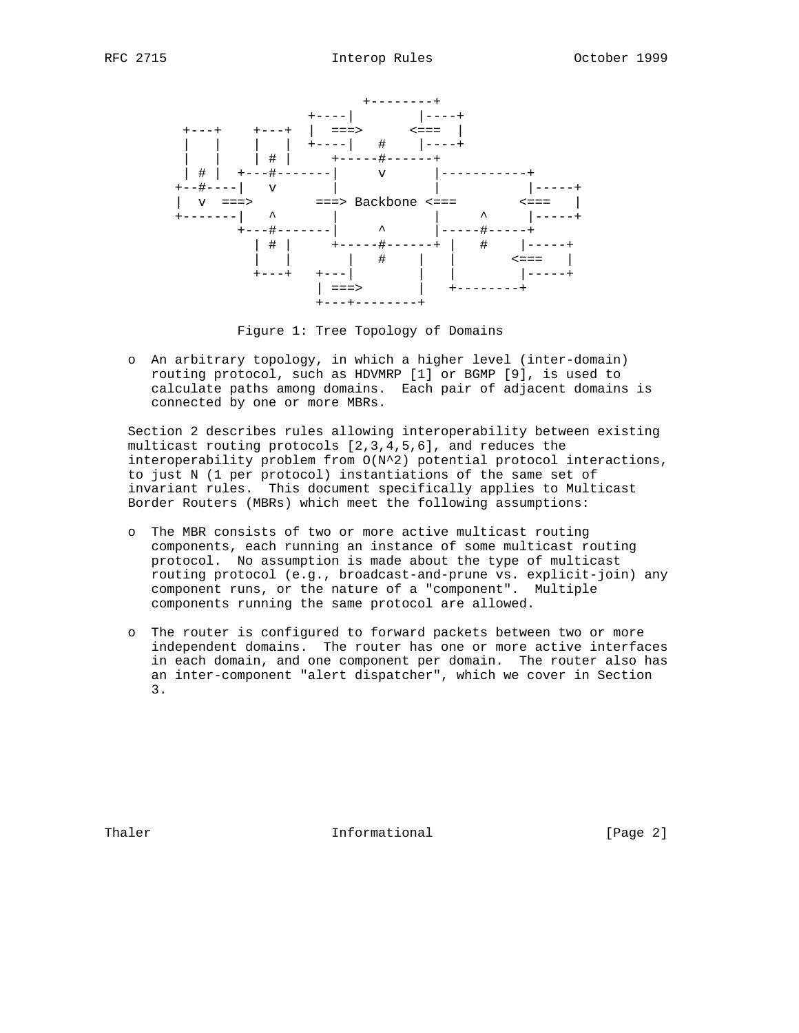

Figure 1: Tree Topology of Domains

 o An arbitrary topology, in which a higher level (inter-domain) routing protocol, such as HDVMRP [1] or BGMP [9], is used to calculate paths among domains. Each pair of adjacent domains is connected by one or more MBRs.

 Section 2 describes rules allowing interoperability between existing multicast routing protocols [2,3,4,5,6], and reduces the interoperability problem from O(N^2) potential protocol interactions, to just N (1 per protocol) instantiations of the same set of invariant rules. This document specifically applies to Multicast Border Routers (MBRs) which meet the following assumptions:

- o The MBR consists of two or more active multicast routing components, each running an instance of some multicast routing protocol. No assumption is made about the type of multicast routing protocol (e.g., broadcast-and-prune vs. explicit-join) any component runs, or the nature of a "component". Multiple components running the same protocol are allowed.
- o The router is configured to forward packets between two or more independent domains. The router has one or more active interfaces in each domain, and one component per domain. The router also has an inter-component "alert dispatcher", which we cover in Section 3.

Thaler **Informational** Informational [Page 2]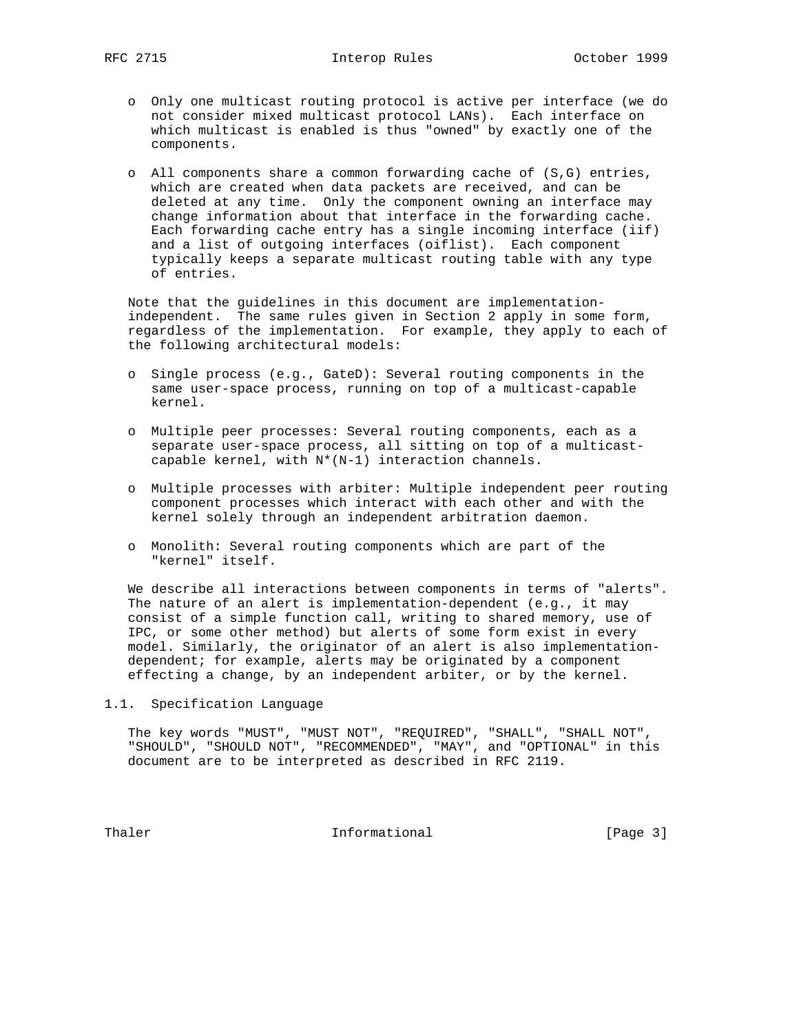- o Only one multicast routing protocol is active per interface (we do not consider mixed multicast protocol LANs). Each interface on which multicast is enabled is thus "owned" by exactly one of the components.
- o All components share a common forwarding cache of (S,G) entries, which are created when data packets are received, and can be deleted at any time. Only the component owning an interface may change information about that interface in the forwarding cache. Each forwarding cache entry has a single incoming interface (iif) and a list of outgoing interfaces (oiflist). Each component typically keeps a separate multicast routing table with any type of entries.

 Note that the guidelines in this document are implementation independent. The same rules given in Section 2 apply in some form, regardless of the implementation. For example, they apply to each of the following architectural models:

- o Single process (e.g., GateD): Several routing components in the same user-space process, running on top of a multicast-capable kernel.
- o Multiple peer processes: Several routing components, each as a separate user-space process, all sitting on top of a multicast capable kernel, with N\*(N-1) interaction channels.
- o Multiple processes with arbiter: Multiple independent peer routing component processes which interact with each other and with the kernel solely through an independent arbitration daemon.
- o Monolith: Several routing components which are part of the "kernel" itself.

 We describe all interactions between components in terms of "alerts". The nature of an alert is implementation-dependent (e.g., it may consist of a simple function call, writing to shared memory, use of IPC, or some other method) but alerts of some form exist in every model. Similarly, the originator of an alert is also implementation dependent; for example, alerts may be originated by a component effecting a change, by an independent arbiter, or by the kernel.

1.1. Specification Language

 The key words "MUST", "MUST NOT", "REQUIRED", "SHALL", "SHALL NOT", "SHOULD", "SHOULD NOT", "RECOMMENDED", "MAY", and "OPTIONAL" in this document are to be interpreted as described in RFC 2119.

Thaler **Informational Informational** [Page 3]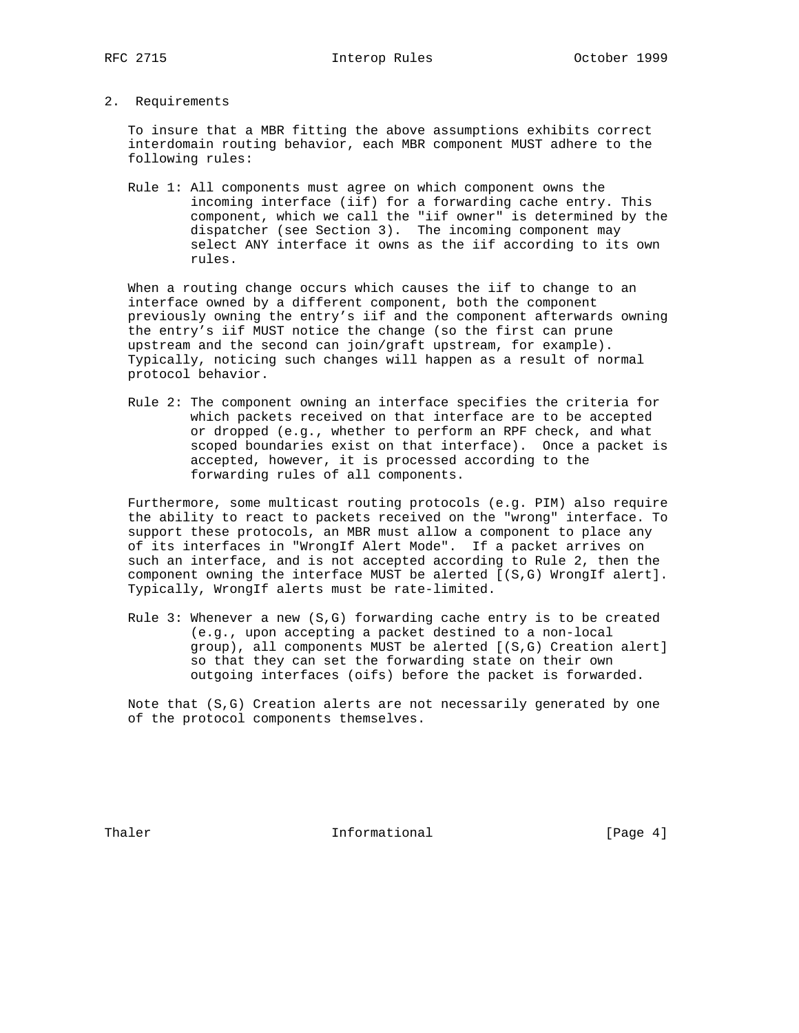2. Requirements

 To insure that a MBR fitting the above assumptions exhibits correct interdomain routing behavior, each MBR component MUST adhere to the following rules:

 Rule 1: All components must agree on which component owns the incoming interface (iif) for a forwarding cache entry. This component, which we call the "iif owner" is determined by the dispatcher (see Section 3). The incoming component may select ANY interface it owns as the iif according to its own rules.

 When a routing change occurs which causes the iif to change to an interface owned by a different component, both the component previously owning the entry's iif and the component afterwards owning the entry's iif MUST notice the change (so the first can prune upstream and the second can join/graft upstream, for example). Typically, noticing such changes will happen as a result of normal protocol behavior.

 Rule 2: The component owning an interface specifies the criteria for which packets received on that interface are to be accepted or dropped (e.g., whether to perform an RPF check, and what scoped boundaries exist on that interface). Once a packet is accepted, however, it is processed according to the forwarding rules of all components.

 Furthermore, some multicast routing protocols (e.g. PIM) also require the ability to react to packets received on the "wrong" interface. To support these protocols, an MBR must allow a component to place any of its interfaces in "WrongIf Alert Mode". If a packet arrives on such an interface, and is not accepted according to Rule 2, then the component owning the interface MUST be alerted [(S,G) WrongIf alert]. Typically, WrongIf alerts must be rate-limited.

 Rule 3: Whenever a new (S,G) forwarding cache entry is to be created (e.g., upon accepting a packet destined to a non-local group), all components MUST be alerted [(S,G) Creation alert] so that they can set the forwarding state on their own outgoing interfaces (oifs) before the packet is forwarded.

 Note that (S,G) Creation alerts are not necessarily generated by one of the protocol components themselves.

Thaler **Informational** Informational [Page 4]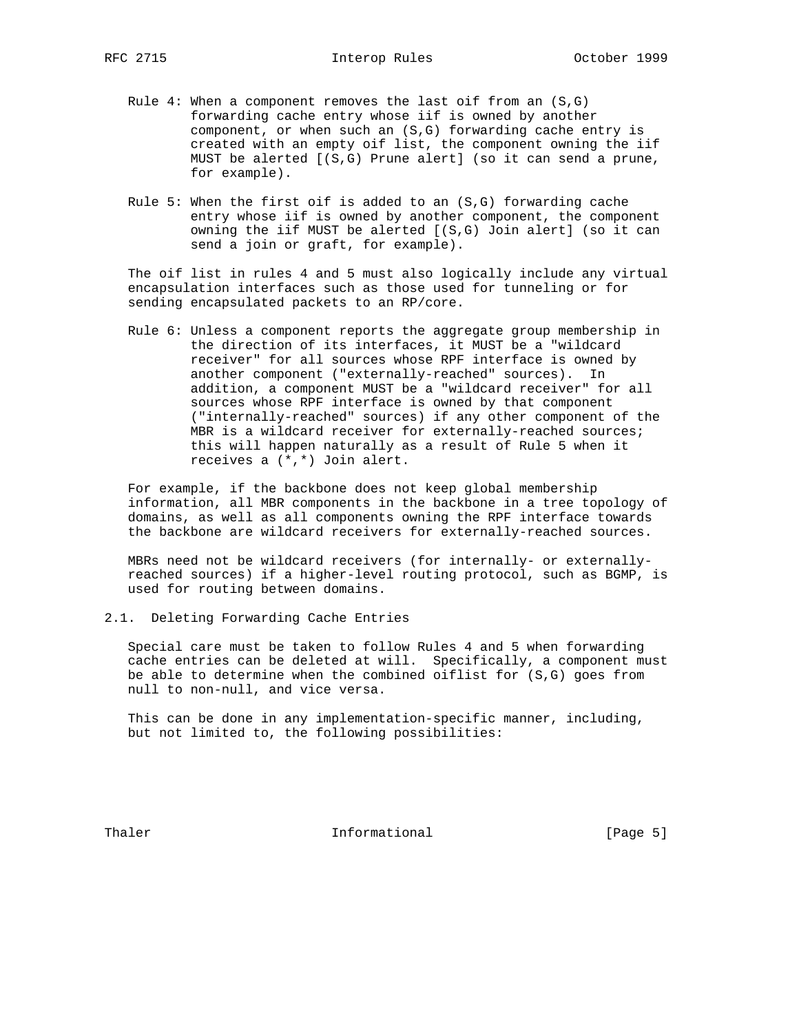- Rule 4: When a component removes the last oif from an (S,G) forwarding cache entry whose iif is owned by another component, or when such an (S,G) forwarding cache entry is created with an empty oif list, the component owning the iif MUST be alerted [(S,G) Prune alert] (so it can send a prune, for example).
- Rule 5: When the first oif is added to an  $(S,G)$  forwarding cache entry whose iif is owned by another component, the component owning the iif MUST be alerted [(S,G) Join alert] (so it can send a join or graft, for example).

 The oif list in rules 4 and 5 must also logically include any virtual encapsulation interfaces such as those used for tunneling or for sending encapsulated packets to an RP/core.

 Rule 6: Unless a component reports the aggregate group membership in the direction of its interfaces, it MUST be a "wildcard receiver" for all sources whose RPF interface is owned by another component ("externally-reached" sources). In addition, a component MUST be a "wildcard receiver" for all sources whose RPF interface is owned by that component ("internally-reached" sources) if any other component of the MBR is a wildcard receiver for externally-reached sources; this will happen naturally as a result of Rule 5 when it receives a (\*,\*) Join alert.

 For example, if the backbone does not keep global membership information, all MBR components in the backbone in a tree topology of domains, as well as all components owning the RPF interface towards the backbone are wildcard receivers for externally-reached sources.

 MBRs need not be wildcard receivers (for internally- or externally reached sources) if a higher-level routing protocol, such as BGMP, is used for routing between domains.

2.1. Deleting Forwarding Cache Entries

 Special care must be taken to follow Rules 4 and 5 when forwarding cache entries can be deleted at will. Specifically, a component must be able to determine when the combined oiflist for (S,G) goes from null to non-null, and vice versa.

 This can be done in any implementation-specific manner, including, but not limited to, the following possibilities:

Thaler **Informational** Informational [Page 5]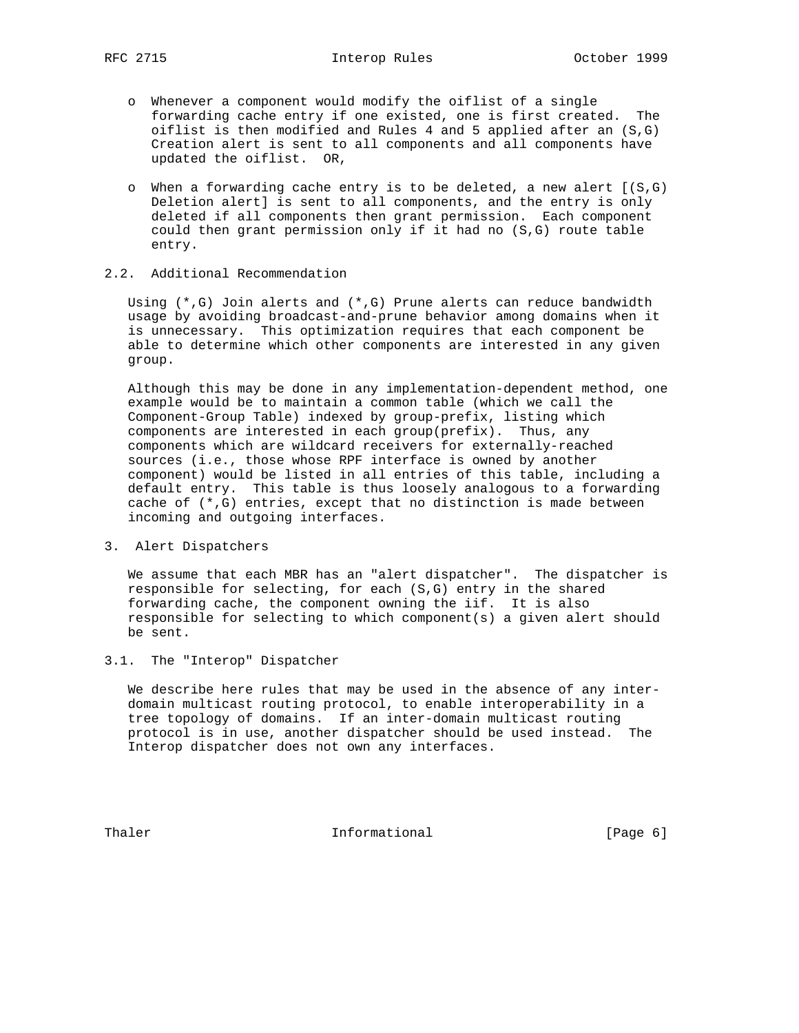- o Whenever a component would modify the oiflist of a single forwarding cache entry if one existed, one is first created. The oiflist is then modified and Rules 4 and 5 applied after an (S,G) Creation alert is sent to all components and all components have updated the oiflist. OR,
- o When a forwarding cache entry is to be deleted, a new alert [(S,G) Deletion alert] is sent to all components, and the entry is only deleted if all components then grant permission. Each component could then grant permission only if it had no (S,G) route table entry.

# 2.2. Additional Recommendation

 Using (\*,G) Join alerts and (\*,G) Prune alerts can reduce bandwidth usage by avoiding broadcast-and-prune behavior among domains when it is unnecessary. This optimization requires that each component be able to determine which other components are interested in any given group.

 Although this may be done in any implementation-dependent method, one example would be to maintain a common table (which we call the Component-Group Table) indexed by group-prefix, listing which components are interested in each group(prefix). Thus, any components which are wildcard receivers for externally-reached sources (i.e., those whose RPF interface is owned by another component) would be listed in all entries of this table, including a default entry. This table is thus loosely analogous to a forwarding cache of (\*,G) entries, except that no distinction is made between incoming and outgoing interfaces.

3. Alert Dispatchers

 We assume that each MBR has an "alert dispatcher". The dispatcher is responsible for selecting, for each (S,G) entry in the shared forwarding cache, the component owning the iif. It is also responsible for selecting to which component(s) a given alert should be sent.

3.1. The "Interop" Dispatcher

 We describe here rules that may be used in the absence of any inter domain multicast routing protocol, to enable interoperability in a tree topology of domains. If an inter-domain multicast routing protocol is in use, another dispatcher should be used instead. The Interop dispatcher does not own any interfaces.

Thaler **Informational Informational** [Page 6]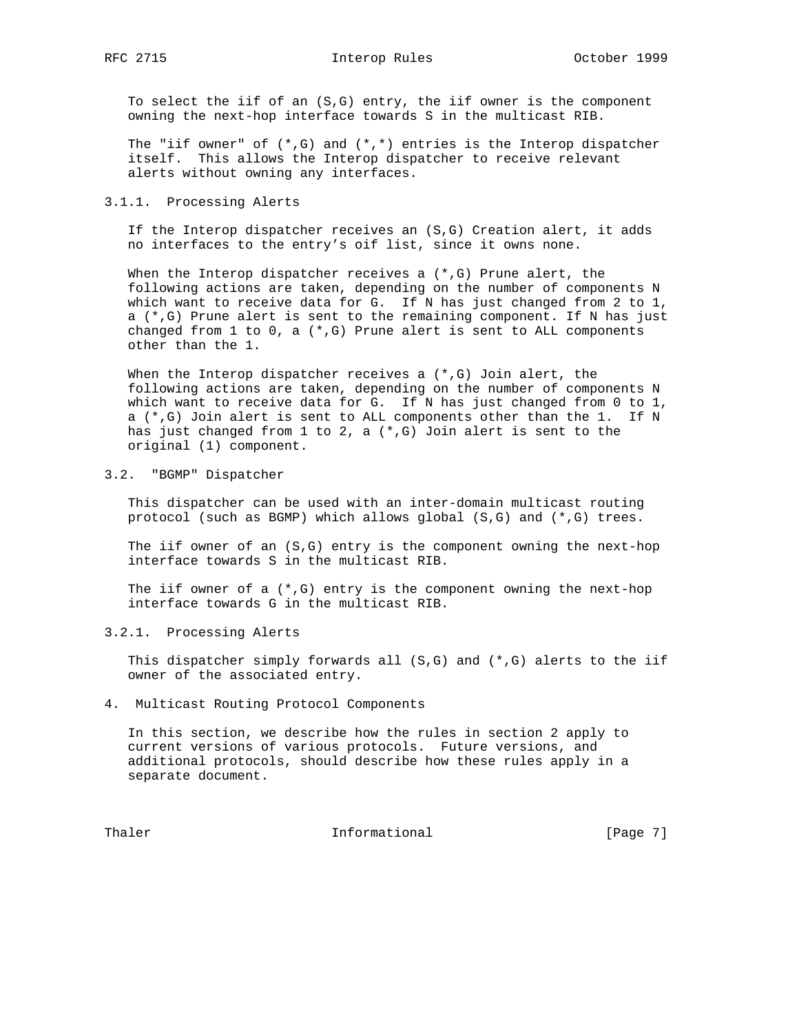RFC 2715 **Interop Rules** October 1999

 To select the iif of an (S,G) entry, the iif owner is the component owning the next-hop interface towards S in the multicast RIB.

The "iif owner" of  $(*,G)$  and  $(*,*)$  entries is the Interop dispatcher itself. This allows the Interop dispatcher to receive relevant alerts without owning any interfaces.

## 3.1.1. Processing Alerts

 If the Interop dispatcher receives an (S,G) Creation alert, it adds no interfaces to the entry's oif list, since it owns none.

When the Interop dispatcher receives a  $(*,G)$  Prune alert, the following actions are taken, depending on the number of components N which want to receive data for G. If N has just changed from 2 to 1, a (\*,G) Prune alert is sent to the remaining component. If N has just changed from  $1$  to  $0$ , a  $(*,G)$  Prune alert is sent to ALL components other than the 1.

When the Interop dispatcher receives a  $(*$ , G) Join alert, the following actions are taken, depending on the number of components N which want to receive data for G. If N has just changed from 0 to 1, a (\*,G) Join alert is sent to ALL components other than the 1. If N has just changed from  $1$  to  $2$ , a  $(*$ ,  $G)$  Join alert is sent to the original (1) component.

# 3.2. "BGMP" Dispatcher

 This dispatcher can be used with an inter-domain multicast routing protocol (such as BGMP) which allows global (S,G) and (\*,G) trees.

 The iif owner of an (S,G) entry is the component owning the next-hop interface towards S in the multicast RIB.

The iif owner of a  $(*$ , G) entry is the component owning the next-hop interface towards G in the multicast RIB.

## 3.2.1. Processing Alerts

This dispatcher simply forwards all  $(S, G)$  and  $(*, G)$  alerts to the iif owner of the associated entry.

#### 4. Multicast Routing Protocol Components

 In this section, we describe how the rules in section 2 apply to current versions of various protocols. Future versions, and additional protocols, should describe how these rules apply in a separate document.

Thaler **Informational Informational** [Page 7]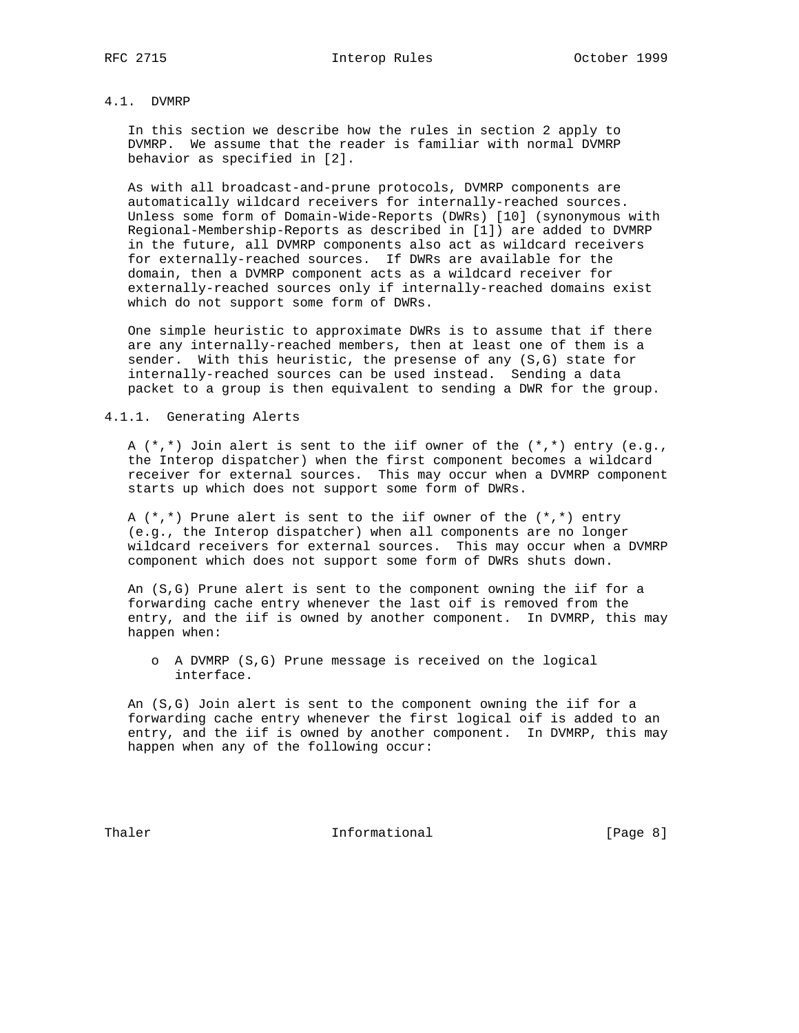# 4.1. DVMRP

 In this section we describe how the rules in section 2 apply to DVMRP. We assume that the reader is familiar with normal DVMRP behavior as specified in [2].

 As with all broadcast-and-prune protocols, DVMRP components are automatically wildcard receivers for internally-reached sources. Unless some form of Domain-Wide-Reports (DWRs) [10] (synonymous with Regional-Membership-Reports as described in [1]) are added to DVMRP in the future, all DVMRP components also act as wildcard receivers for externally-reached sources. If DWRs are available for the domain, then a DVMRP component acts as a wildcard receiver for externally-reached sources only if internally-reached domains exist which do not support some form of DWRs.

 One simple heuristic to approximate DWRs is to assume that if there are any internally-reached members, then at least one of them is a sender. With this heuristic, the presense of any (S,G) state for internally-reached sources can be used instead. Sending a data packet to a group is then equivalent to sending a DWR for the group.

### 4.1.1. Generating Alerts

 A (\*,\*) Join alert is sent to the iif owner of the (\*,\*) entry (e.g., the Interop dispatcher) when the first component becomes a wildcard receiver for external sources. This may occur when a DVMRP component starts up which does not support some form of DWRs.

A  $(*,*)$  Prune alert is sent to the iif owner of the  $(*,*)$  entry (e.g., the Interop dispatcher) when all components are no longer wildcard receivers for external sources. This may occur when a DVMRP component which does not support some form of DWRs shuts down.

 An (S,G) Prune alert is sent to the component owning the iif for a forwarding cache entry whenever the last oif is removed from the entry, and the iif is owned by another component. In DVMRP, this may happen when:

 o A DVMRP (S,G) Prune message is received on the logical interface.

 An (S,G) Join alert is sent to the component owning the iif for a forwarding cache entry whenever the first logical oif is added to an entry, and the iif is owned by another component. In DVMRP, this may happen when any of the following occur:

Thaler **Informational Informational** [Page 8]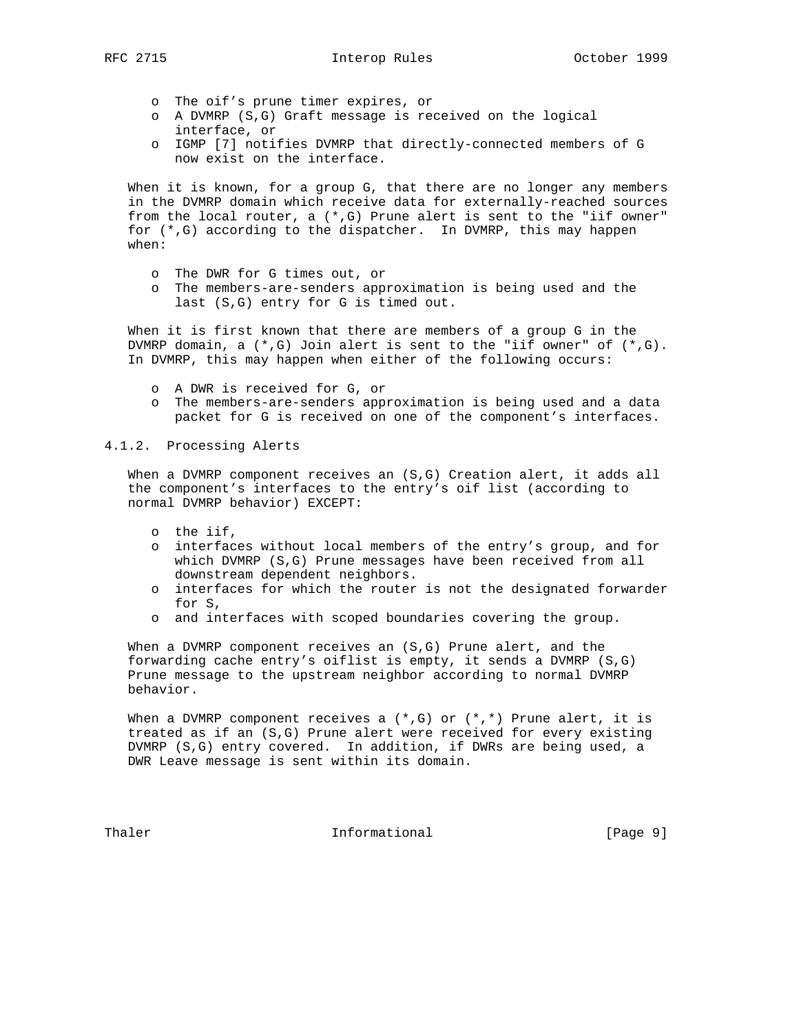- o The oif's prune timer expires, or
- o A DVMRP (S,G) Graft message is received on the logical interface, or
- o IGMP [7] notifies DVMRP that directly-connected members of G now exist on the interface.

 When it is known, for a group G, that there are no longer any members in the DVMRP domain which receive data for externally-reached sources from the local router, a  $(*,G)$  Prune alert is sent to the "iif owner" for (\*,G) according to the dispatcher. In DVMRP, this may happen when:

- o The DWR for G times out, or
- o The members-are-senders approximation is being used and the last (S,G) entry for G is timed out.

 When it is first known that there are members of a group G in the DVMRP domain, a (\*,G) Join alert is sent to the "iif owner" of (\*,G). In DVMRP, this may happen when either of the following occurs:

- o A DWR is received for G, or
- o The members-are-senders approximation is being used and a data packet for G is received on one of the component's interfaces.

## 4.1.2. Processing Alerts

When a DVMRP component receives an (S,G) Creation alert, it adds all the component's interfaces to the entry's oif list (according to normal DVMRP behavior) EXCEPT:

- o the iif,
- o interfaces without local members of the entry's group, and for which DVMRP (S,G) Prune messages have been received from all downstream dependent neighbors.
- o interfaces for which the router is not the designated forwarder for S,
- o and interfaces with scoped boundaries covering the group.

 When a DVMRP component receives an (S,G) Prune alert, and the forwarding cache entry's oiflist is empty, it sends a DVMRP (S,G) Prune message to the upstream neighbor according to normal DVMRP behavior.

When a DVMRP component receives a  $(*$ , G) or  $(*,*)$  Prune alert, it is treated as if an (S,G) Prune alert were received for every existing DVMRP (S,G) entry covered. In addition, if DWRs are being used, a DWR Leave message is sent within its domain.

Thaler Informational [Page 9]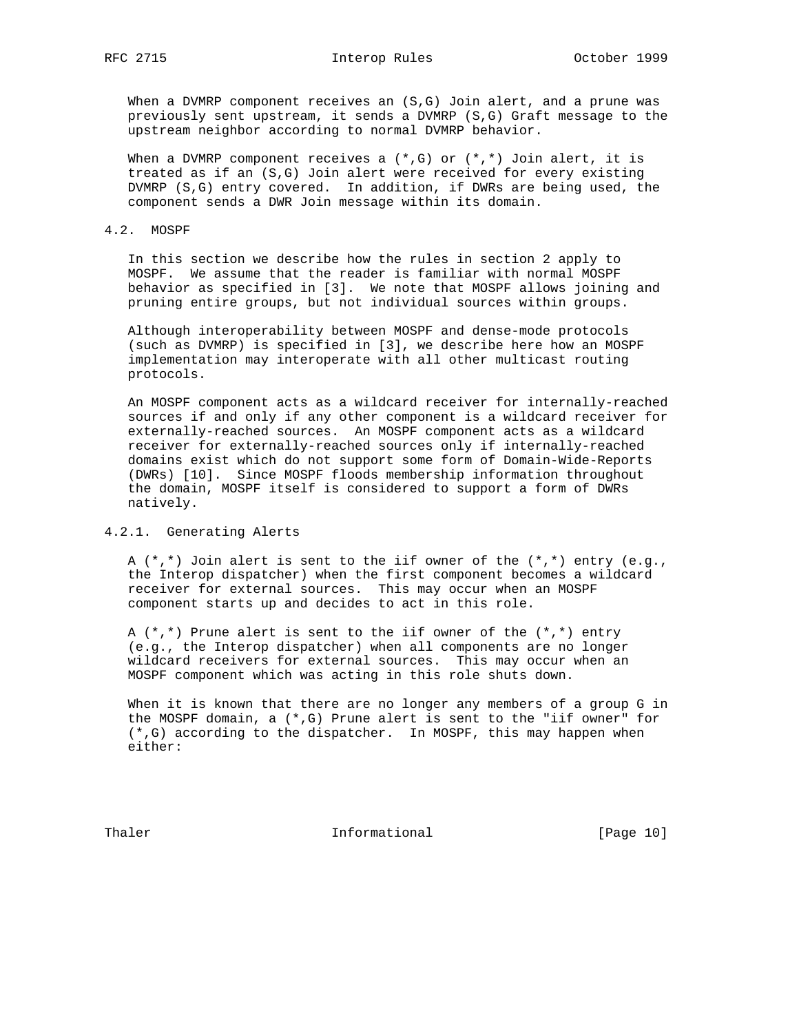RFC 2715 **Interop Rules** October 1999

When a DVMRP component receives an (S,G) Join alert, and a prune was previously sent upstream, it sends a DVMRP (S,G) Graft message to the upstream neighbor according to normal DVMRP behavior.

When a DVMRP component receives a  $(*$ , G) or  $(*,*)$  Join alert, it is treated as if an (S,G) Join alert were received for every existing DVMRP (S,G) entry covered. In addition, if DWRs are being used, the component sends a DWR Join message within its domain.

#### 4.2. MOSPF

 In this section we describe how the rules in section 2 apply to MOSPF. We assume that the reader is familiar with normal MOSPF behavior as specified in [3]. We note that MOSPF allows joining and pruning entire groups, but not individual sources within groups.

 Although interoperability between MOSPF and dense-mode protocols (such as DVMRP) is specified in [3], we describe here how an MOSPF implementation may interoperate with all other multicast routing protocols.

 An MOSPF component acts as a wildcard receiver for internally-reached sources if and only if any other component is a wildcard receiver for externally-reached sources. An MOSPF component acts as a wildcard receiver for externally-reached sources only if internally-reached domains exist which do not support some form of Domain-Wide-Reports (DWRs) [10]. Since MOSPF floods membership information throughout the domain, MOSPF itself is considered to support a form of DWRs natively.

## 4.2.1. Generating Alerts

A  $(*,*)$  Join alert is sent to the iif owner of the  $(*,*)$  entry  $(e.g.,)$  the Interop dispatcher) when the first component becomes a wildcard receiver for external sources. This may occur when an MOSPF component starts up and decides to act in this role.

A  $(*,*)$  Prune alert is sent to the iif owner of the  $(*,*)$  entry (e.g., the Interop dispatcher) when all components are no longer wildcard receivers for external sources. This may occur when an MOSPF component which was acting in this role shuts down.

 When it is known that there are no longer any members of a group G in the MOSPF domain, a  $(*$ , G) Prune alert is sent to the "iif owner" for (\*,G) according to the dispatcher. In MOSPF, this may happen when either:

Thaler **Informational Informational** [Page 10]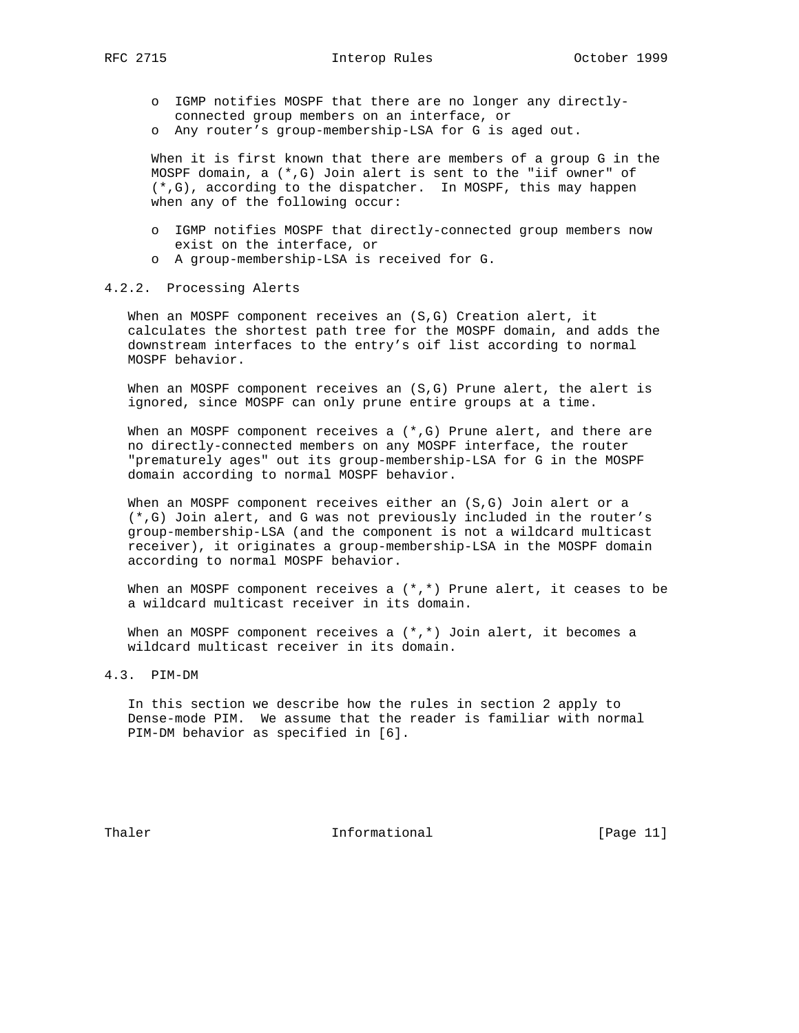- o IGMP notifies MOSPF that there are no longer any directly connected group members on an interface, or
- o Any router's group-membership-LSA for G is aged out.

 When it is first known that there are members of a group G in the MOSPF domain, a (\*,G) Join alert is sent to the "iif owner" of (\*,G), according to the dispatcher. In MOSPF, this may happen when any of the following occur:

- o IGMP notifies MOSPF that directly-connected group members now exist on the interface, or
- o A group-membership-LSA is received for G.

## 4.2.2. Processing Alerts

 When an MOSPF component receives an (S,G) Creation alert, it calculates the shortest path tree for the MOSPF domain, and adds the downstream interfaces to the entry's oif list according to normal MOSPF behavior.

When an MOSPF component receives an  $(S,G)$  Prune alert, the alert is ignored, since MOSPF can only prune entire groups at a time.

When an MOSPF component receives a  $(*,G)$  Prune alert, and there are no directly-connected members on any MOSPF interface, the router "prematurely ages" out its group-membership-LSA for G in the MOSPF domain according to normal MOSPF behavior.

 When an MOSPF component receives either an (S,G) Join alert or a (\*,G) Join alert, and G was not previously included in the router's group-membership-LSA (and the component is not a wildcard multicast receiver), it originates a group-membership-LSA in the MOSPF domain according to normal MOSPF behavior.

When an MOSPF component receives a  $(*,*)$  Prune alert, it ceases to be a wildcard multicast receiver in its domain.

When an MOSPF component receives a  $(*,*)$  Join alert, it becomes a wildcard multicast receiver in its domain.

4.3. PIM-DM

 In this section we describe how the rules in section 2 apply to Dense-mode PIM. We assume that the reader is familiar with normal PIM-DM behavior as specified in [6].

Thaler **Informational Informational** [Page 11]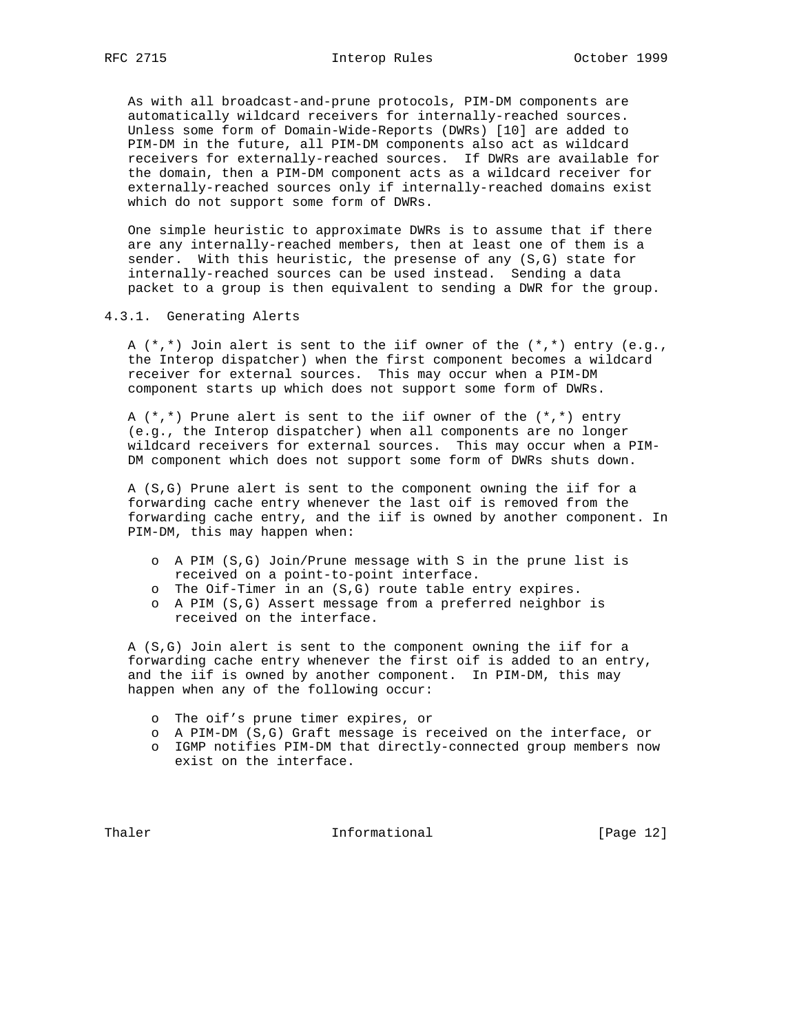As with all broadcast-and-prune protocols, PIM-DM components are automatically wildcard receivers for internally-reached sources. Unless some form of Domain-Wide-Reports (DWRs) [10] are added to PIM-DM in the future, all PIM-DM components also act as wildcard receivers for externally-reached sources. If DWRs are available for the domain, then a PIM-DM component acts as a wildcard receiver for externally-reached sources only if internally-reached domains exist which do not support some form of DWRs.

 One simple heuristic to approximate DWRs is to assume that if there are any internally-reached members, then at least one of them is a sender. With this heuristic, the presense of any (S,G) state for internally-reached sources can be used instead. Sending a data packet to a group is then equivalent to sending a DWR for the group.

## 4.3.1. Generating Alerts

A  $(*,*)$  Join alert is sent to the iif owner of the  $(*,*)$  entry  $(e.g.,)$  the Interop dispatcher) when the first component becomes a wildcard receiver for external sources. This may occur when a PIM-DM component starts up which does not support some form of DWRs.

A  $(*,*)$  Prune alert is sent to the iif owner of the  $(*,*)$  entry (e.g., the Interop dispatcher) when all components are no longer wildcard receivers for external sources. This may occur when a PIM- DM component which does not support some form of DWRs shuts down.

 A (S,G) Prune alert is sent to the component owning the iif for a forwarding cache entry whenever the last oif is removed from the forwarding cache entry, and the iif is owned by another component. In PIM-DM, this may happen when:

- o A PIM (S,G) Join/Prune message with S in the prune list is received on a point-to-point interface.
- o The Oif-Timer in an (S,G) route table entry expires.
- o A PIM (S,G) Assert message from a preferred neighbor is received on the interface.

 A (S,G) Join alert is sent to the component owning the iif for a forwarding cache entry whenever the first oif is added to an entry, and the iif is owned by another component. In PIM-DM, this may happen when any of the following occur:

- o The oif's prune timer expires, or
- o A PIM-DM (S,G) Graft message is received on the interface, or
- o IGMP notifies PIM-DM that directly-connected group members now exist on the interface.

Thaler **Informational Informational** [Page 12]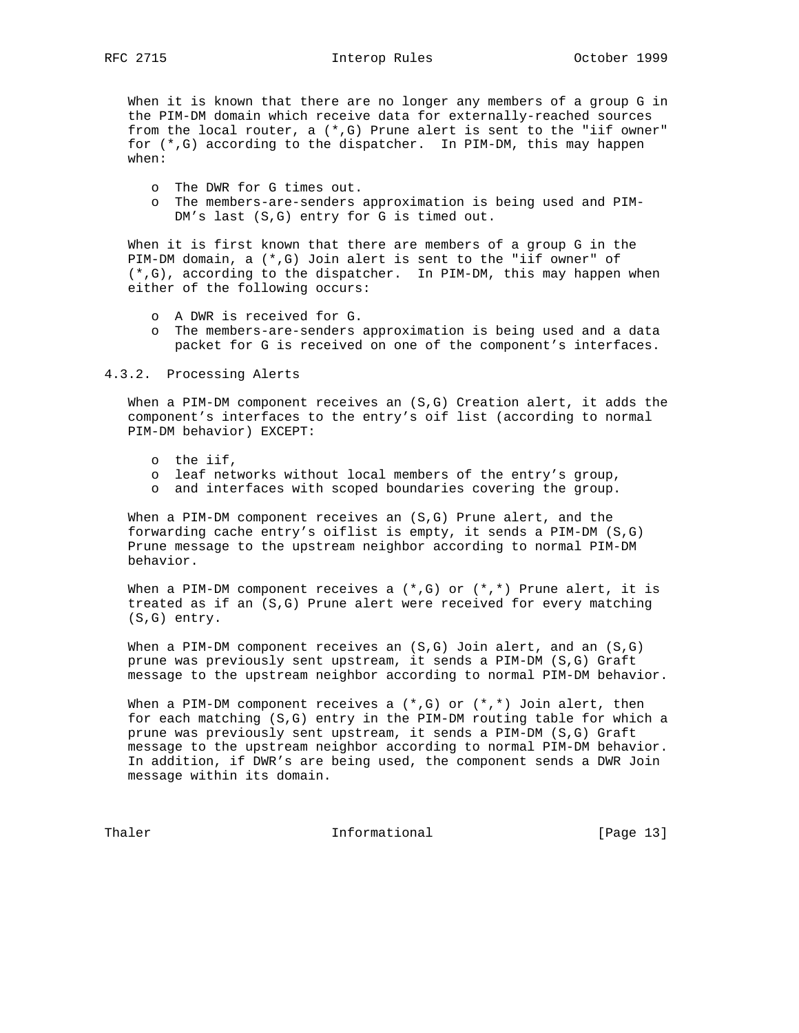When it is known that there are no longer any members of a group G in the PIM-DM domain which receive data for externally-reached sources from the local router, a  $(*$ , G) Prune alert is sent to the "iif owner" for (\*,G) according to the dispatcher. In PIM-DM, this may happen when:

- o The DWR for G times out.
- o The members-are-senders approximation is being used and PIM- DM's last (S,G) entry for G is timed out.

 When it is first known that there are members of a group G in the PIM-DM domain, a (\*,G) Join alert is sent to the "iif owner" of (\*,G), according to the dispatcher. In PIM-DM, this may happen when either of the following occurs:

- o A DWR is received for G.
- o The members-are-senders approximation is being used and a data packet for G is received on one of the component's interfaces.

#### 4.3.2. Processing Alerts

 When a PIM-DM component receives an (S,G) Creation alert, it adds the component's interfaces to the entry's oif list (according to normal PIM-DM behavior) EXCEPT:

- o the iif,
- o leaf networks without local members of the entry's group,
- o and interfaces with scoped boundaries covering the group.

When a PIM-DM component receives an  $(S,G)$  Prune alert, and the forwarding cache entry's oiflist is empty, it sends a PIM-DM (S,G) Prune message to the upstream neighbor according to normal PIM-DM behavior.

When a PIM-DM component receives a  $(*,G)$  or  $(*,*)$  Prune alert, it is treated as if an (S,G) Prune alert were received for every matching (S,G) entry.

When a PIM-DM component receives an  $(S,G)$  Join alert, and an  $(S,G)$  prune was previously sent upstream, it sends a PIM-DM (S,G) Graft message to the upstream neighbor according to normal PIM-DM behavior.

When a PIM-DM component receives a  $(*,G)$  or  $(*,*)$  Join alert, then for each matching (S,G) entry in the PIM-DM routing table for which a prune was previously sent upstream, it sends a PIM-DM (S,G) Graft message to the upstream neighbor according to normal PIM-DM behavior. In addition, if DWR's are being used, the component sends a DWR Join message within its domain.

Thaler **Informational Informational** [Page 13]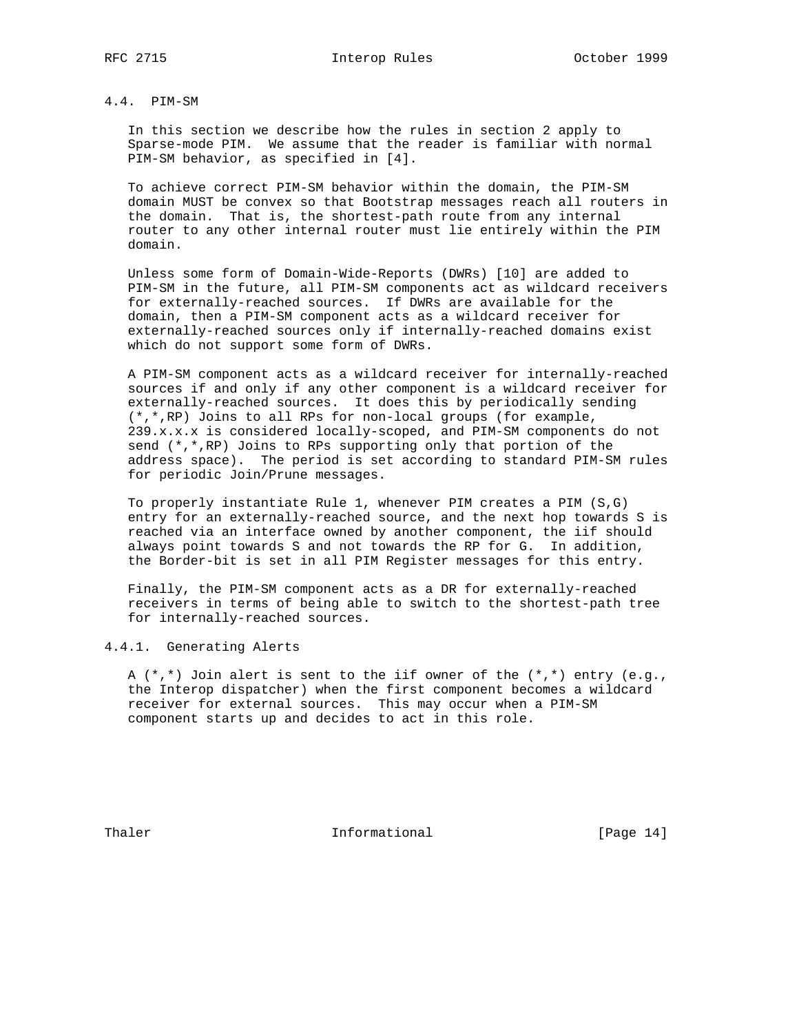# 4.4. PIM-SM

 In this section we describe how the rules in section 2 apply to Sparse-mode PIM. We assume that the reader is familiar with normal PIM-SM behavior, as specified in [4].

 To achieve correct PIM-SM behavior within the domain, the PIM-SM domain MUST be convex so that Bootstrap messages reach all routers in the domain. That is, the shortest-path route from any internal router to any other internal router must lie entirely within the PIM domain.

 Unless some form of Domain-Wide-Reports (DWRs) [10] are added to PIM-SM in the future, all PIM-SM components act as wildcard receivers for externally-reached sources. If DWRs are available for the domain, then a PIM-SM component acts as a wildcard receiver for externally-reached sources only if internally-reached domains exist which do not support some form of DWRs.

 A PIM-SM component acts as a wildcard receiver for internally-reached sources if and only if any other component is a wildcard receiver for externally-reached sources. It does this by periodically sending (\*,\*,RP) Joins to all RPs for non-local groups (for example, 239.x.x.x is considered locally-scoped, and PIM-SM components do not send (\*,\*,RP) Joins to RPs supporting only that portion of the address space). The period is set according to standard PIM-SM rules for periodic Join/Prune messages.

 To properly instantiate Rule 1, whenever PIM creates a PIM (S,G) entry for an externally-reached source, and the next hop towards S is reached via an interface owned by another component, the iif should always point towards S and not towards the RP for G. In addition, the Border-bit is set in all PIM Register messages for this entry.

 Finally, the PIM-SM component acts as a DR for externally-reached receivers in terms of being able to switch to the shortest-path tree for internally-reached sources.

4.4.1. Generating Alerts

 A (\*,\*) Join alert is sent to the iif owner of the (\*,\*) entry (e.g., the Interop dispatcher) when the first component becomes a wildcard receiver for external sources. This may occur when a PIM-SM component starts up and decides to act in this role.

Thaler **Informational Informational** [Page 14]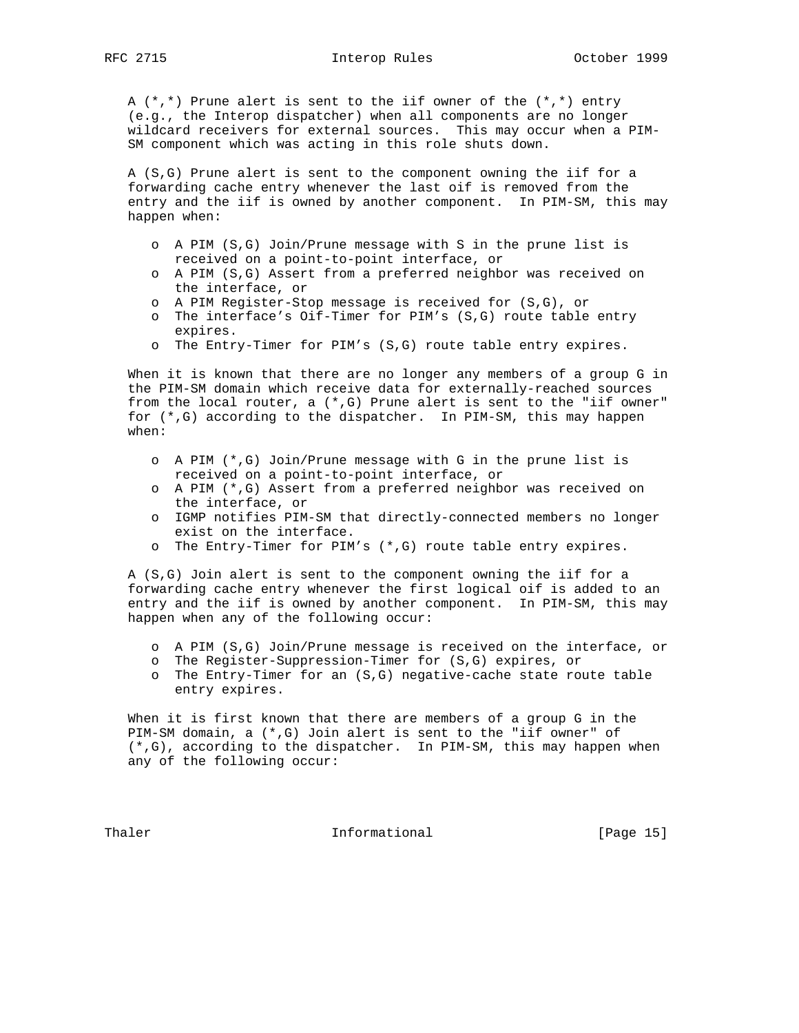A (\*,\*) Prune alert is sent to the iif owner of the (\*,\*) entry (e.g., the Interop dispatcher) when all components are no longer wildcard receivers for external sources. This may occur when a PIM- SM component which was acting in this role shuts down.

 A (S,G) Prune alert is sent to the component owning the iif for a forwarding cache entry whenever the last oif is removed from the entry and the iif is owned by another component. In PIM-SM, this may happen when:

- o A PIM (S,G) Join/Prune message with S in the prune list is received on a point-to-point interface, or
- o A PIM (S,G) Assert from a preferred neighbor was received on the interface, or
- o A PIM Register-Stop message is received for (S,G), or
- o The interface's Oif-Timer for PIM's (S,G) route table entry expires.
- o The Entry-Timer for PIM's (S,G) route table entry expires.

 When it is known that there are no longer any members of a group G in the PIM-SM domain which receive data for externally-reached sources from the local router, a (\*,G) Prune alert is sent to the "iif owner" for (\*,G) according to the dispatcher. In PIM-SM, this may happen when:

- o A PIM (\*,G) Join/Prune message with G in the prune list is received on a point-to-point interface, or
- o A PIM (\*,G) Assert from a preferred neighbor was received on the interface, or
- o IGMP notifies PIM-SM that directly-connected members no longer exist on the interface.
- o The Entry-Timer for PIM's (\*,G) route table entry expires.

 A (S,G) Join alert is sent to the component owning the iif for a forwarding cache entry whenever the first logical oif is added to an entry and the iif is owned by another component. In PIM-SM, this may happen when any of the following occur:

- o A PIM (S,G) Join/Prune message is received on the interface, or
- o The Register-Suppression-Timer for (S,G) expires, or
- o The Entry-Timer for an (S,G) negative-cache state route table entry expires.

 When it is first known that there are members of a group G in the PIM-SM domain, a (\*,G) Join alert is sent to the "iif owner" of (\*,G), according to the dispatcher. In PIM-SM, this may happen when any of the following occur:

Thaler **Informational Informational** [Page 15]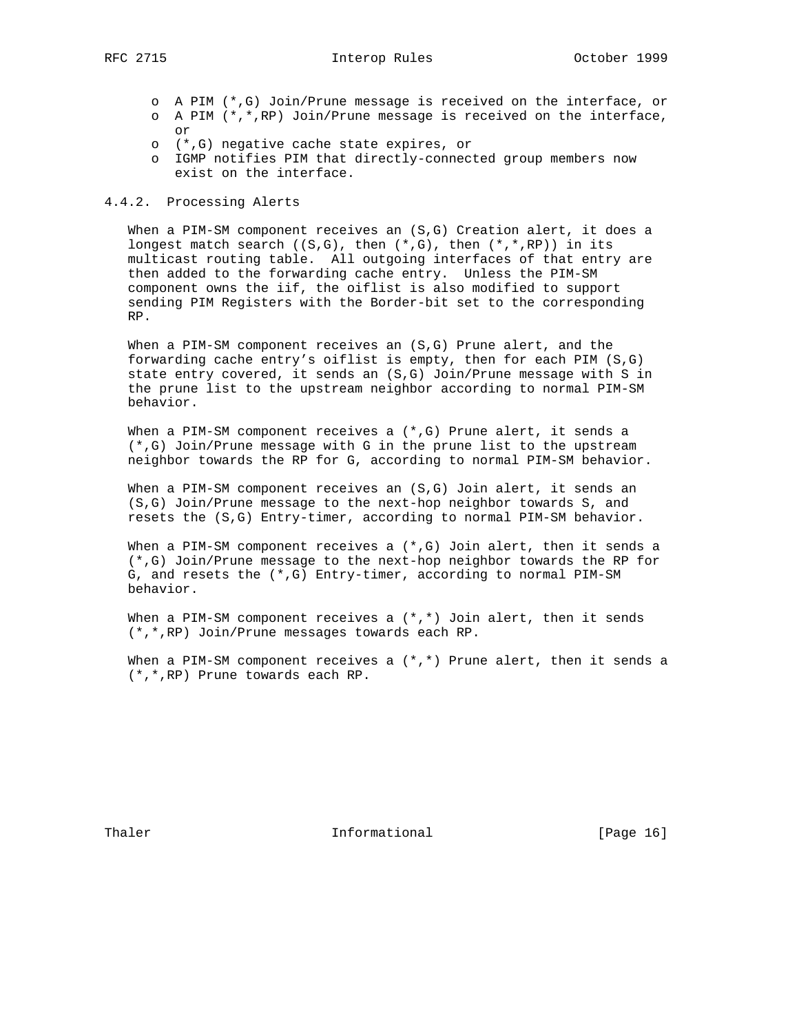- o A PIM (\*,G) Join/Prune message is received on the interface, or
- o A PIM (\*,\*,RP) Join/Prune message is received on the interface, or
- o (\*,G) negative cache state expires, or
- o IGMP notifies PIM that directly-connected group members now exist on the interface.

#### 4.4.2. Processing Alerts

 When a PIM-SM component receives an (S,G) Creation alert, it does a longest match search  $((S,G),$  then  $(*,G),$  then  $(*,*,RP))$  in its multicast routing table. All outgoing interfaces of that entry are then added to the forwarding cache entry. Unless the PIM-SM component owns the iif, the oiflist is also modified to support sending PIM Registers with the Border-bit set to the corresponding RP.

 When a PIM-SM component receives an (S,G) Prune alert, and the forwarding cache entry's oiflist is empty, then for each PIM (S,G) state entry covered, it sends an (S,G) Join/Prune message with S in the prune list to the upstream neighbor according to normal PIM-SM behavior.

When a PIM-SM component receives a  $(*,G)$  Prune alert, it sends a (\*,G) Join/Prune message with G in the prune list to the upstream neighbor towards the RP for G, according to normal PIM-SM behavior.

 When a PIM-SM component receives an (S,G) Join alert, it sends an (S,G) Join/Prune message to the next-hop neighbor towards S, and resets the (S,G) Entry-timer, according to normal PIM-SM behavior.

When a PIM-SM component receives a  $(*$ , G) Join alert, then it sends a (\*,G) Join/Prune message to the next-hop neighbor towards the RP for G, and resets the (\*,G) Entry-timer, according to normal PIM-SM behavior.

When a PIM-SM component receives a  $(*,*)$  Join alert, then it sends (\*,\*,RP) Join/Prune messages towards each RP.

When a PIM-SM component receives a  $(*,*)$  Prune alert, then it sends a (\*,\*,RP) Prune towards each RP.

Thaler **Informational Informational** [Page 16]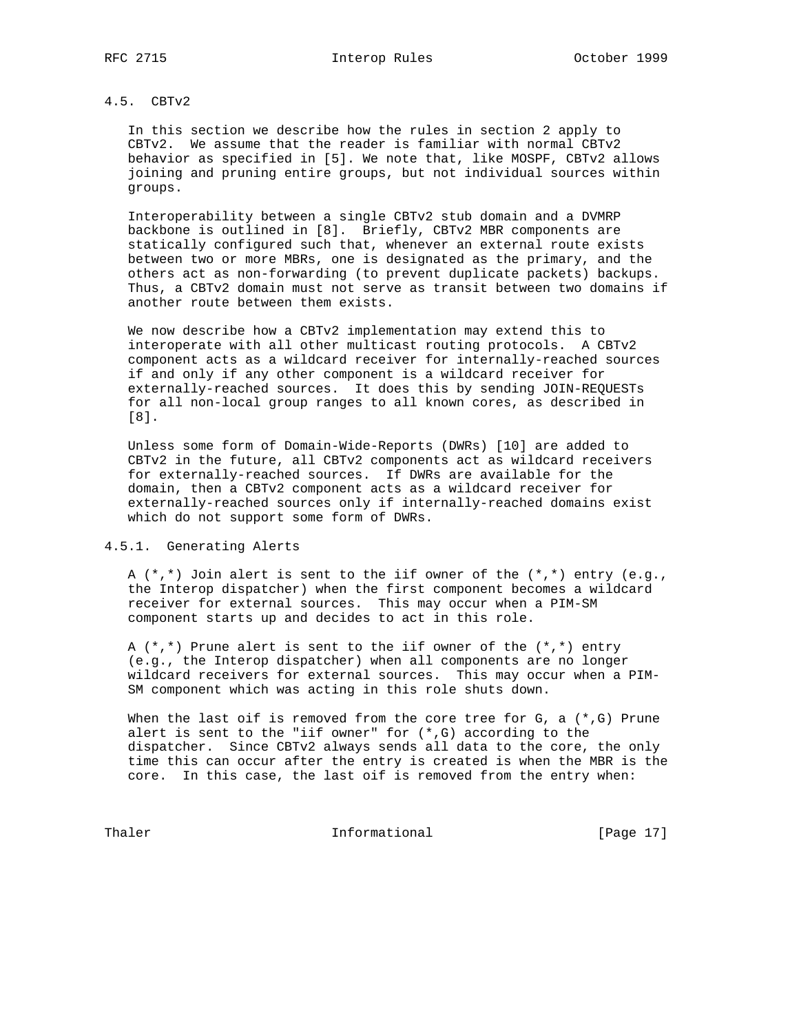# 4.5. CBTv2

 In this section we describe how the rules in section 2 apply to CBTv2. We assume that the reader is familiar with normal CBTv2 behavior as specified in [5]. We note that, like MOSPF, CBTv2 allows joining and pruning entire groups, but not individual sources within groups.

 Interoperability between a single CBTv2 stub domain and a DVMRP backbone is outlined in [8]. Briefly, CBTv2 MBR components are statically configured such that, whenever an external route exists between two or more MBRs, one is designated as the primary, and the others act as non-forwarding (to prevent duplicate packets) backups. Thus, a CBTv2 domain must not serve as transit between two domains if another route between them exists.

 We now describe how a CBTv2 implementation may extend this to interoperate with all other multicast routing protocols. A CBTv2 component acts as a wildcard receiver for internally-reached sources if and only if any other component is a wildcard receiver for externally-reached sources. It does this by sending JOIN-REQUESTs for all non-local group ranges to all known cores, as described in [8].

 Unless some form of Domain-Wide-Reports (DWRs) [10] are added to CBTv2 in the future, all CBTv2 components act as wildcard receivers for externally-reached sources. If DWRs are available for the domain, then a CBTv2 component acts as a wildcard receiver for externally-reached sources only if internally-reached domains exist which do not support some form of DWRs.

4.5.1. Generating Alerts

 A (\*,\*) Join alert is sent to the iif owner of the (\*,\*) entry (e.g., the Interop dispatcher) when the first component becomes a wildcard receiver for external sources. This may occur when a PIM-SM component starts up and decides to act in this role.

A  $(*,*)$  Prune alert is sent to the iif owner of the  $(*,*)$  entry (e.g., the Interop dispatcher) when all components are no longer wildcard receivers for external sources. This may occur when a PIM- SM component which was acting in this role shuts down.

When the last oif is removed from the core tree for  $G$ , a  $(*$ ,  $G)$  Prune alert is sent to the "iif owner" for  $(*$ ,  $G)$  according to the dispatcher. Since CBTv2 always sends all data to the core, the only time this can occur after the entry is created is when the MBR is the core. In this case, the last oif is removed from the entry when:

Thaler **Informational Informational** [Page 17]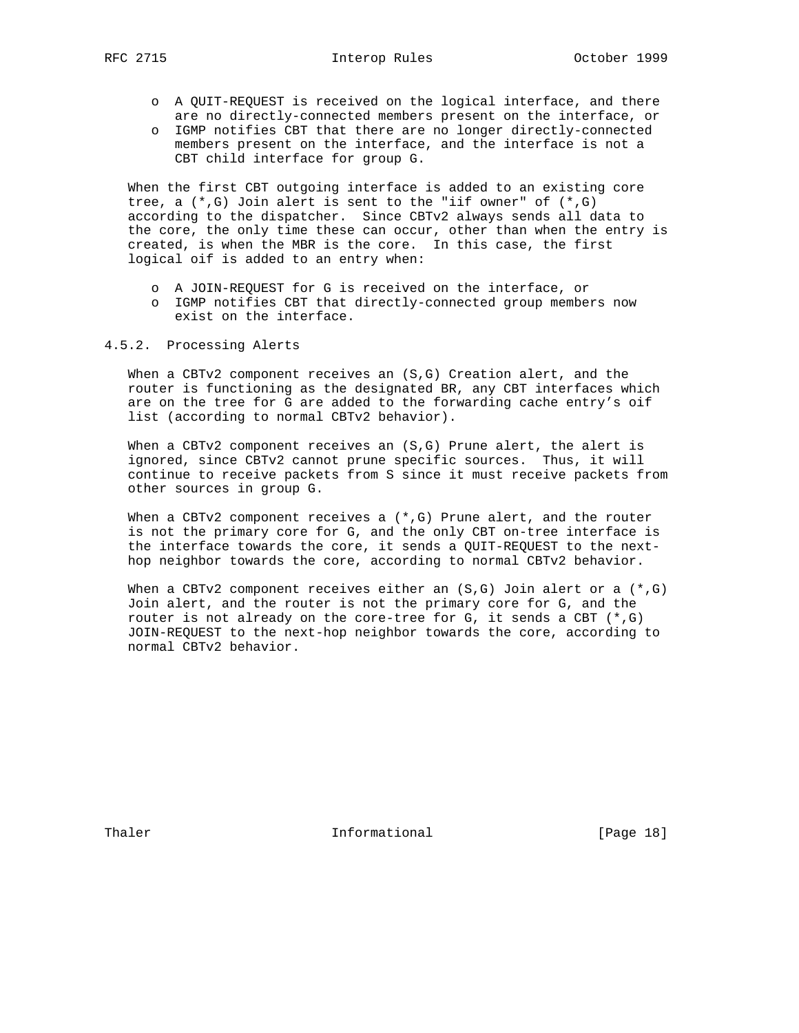- o A QUIT-REQUEST is received on the logical interface, and there are no directly-connected members present on the interface, or
- o IGMP notifies CBT that there are no longer directly-connected members present on the interface, and the interface is not a CBT child interface for group G.

 When the first CBT outgoing interface is added to an existing core tree, a  $(*$ , G) Join alert is sent to the "iif owner" of  $(*$ , G) according to the dispatcher. Since CBTv2 always sends all data to the core, the only time these can occur, other than when the entry is created, is when the MBR is the core. In this case, the first logical oif is added to an entry when:

- o A JOIN-REQUEST for G is received on the interface, or
- o IGMP notifies CBT that directly-connected group members now exist on the interface.

### 4.5.2. Processing Alerts

 When a CBTv2 component receives an (S,G) Creation alert, and the router is functioning as the designated BR, any CBT interfaces which are on the tree for G are added to the forwarding cache entry's oif list (according to normal CBTv2 behavior).

When a CBTv2 component receives an (S,G) Prune alert, the alert is ignored, since CBTv2 cannot prune specific sources. Thus, it will continue to receive packets from S since it must receive packets from other sources in group G.

When a CBTv2 component receives a  $(*,G)$  Prune alert, and the router is not the primary core for G, and the only CBT on-tree interface is the interface towards the core, it sends a QUIT-REQUEST to the next hop neighbor towards the core, according to normal CBTv2 behavior.

When a CBTv2 component receives either an  $(S,G)$  Join alert or a  $(*,G)$  Join alert, and the router is not the primary core for G, and the router is not already on the core-tree for G, it sends a CBT  $(*,G)$  JOIN-REQUEST to the next-hop neighbor towards the core, according to normal CBTv2 behavior.

Thaler **Informational Informational** [Page 18]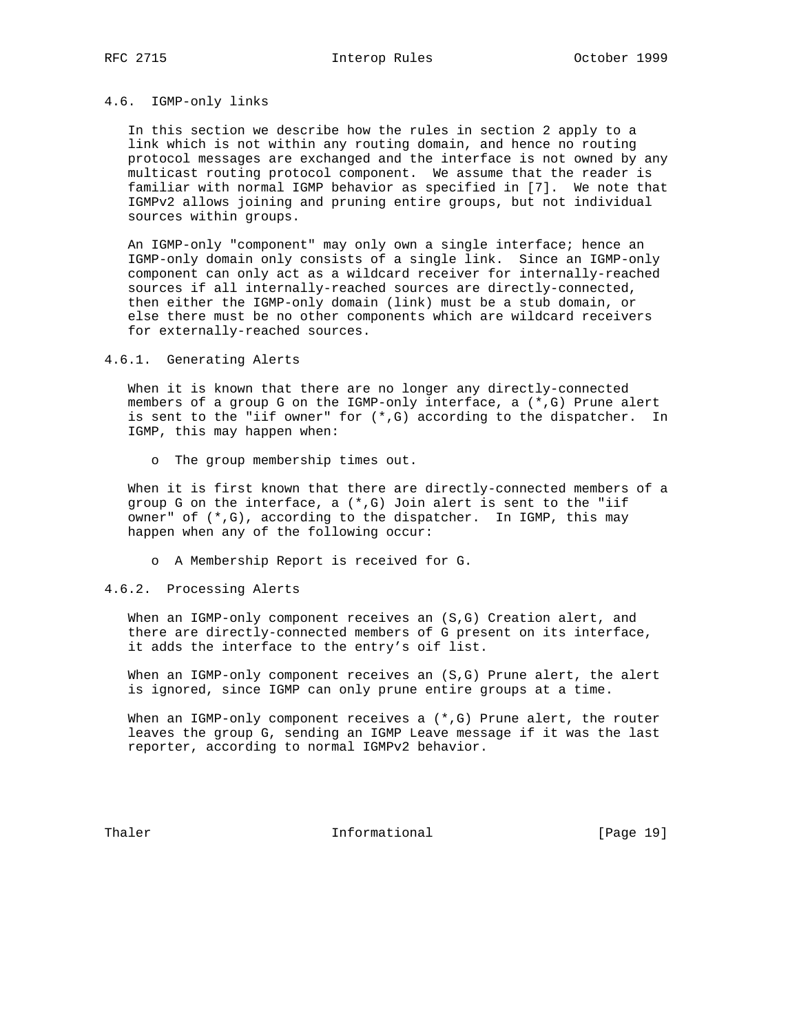# 4.6. IGMP-only links

 In this section we describe how the rules in section 2 apply to a link which is not within any routing domain, and hence no routing protocol messages are exchanged and the interface is not owned by any multicast routing protocol component. We assume that the reader is familiar with normal IGMP behavior as specified in [7]. We note that IGMPv2 allows joining and pruning entire groups, but not individual sources within groups.

 An IGMP-only "component" may only own a single interface; hence an IGMP-only domain only consists of a single link. Since an IGMP-only component can only act as a wildcard receiver for internally-reached sources if all internally-reached sources are directly-connected, then either the IGMP-only domain (link) must be a stub domain, or else there must be no other components which are wildcard receivers for externally-reached sources.

#### 4.6.1. Generating Alerts

 When it is known that there are no longer any directly-connected members of a group G on the IGMP-only interface, a (\*,G) Prune alert is sent to the "iif owner" for (\*,G) according to the dispatcher. In IGMP, this may happen when:

o The group membership times out.

 When it is first known that there are directly-connected members of a group G on the interface, a (\*,G) Join alert is sent to the "iif owner" of  $(*$ , G), according to the dispatcher. In IGMP, this may happen when any of the following occur:

o A Membership Report is received for G.

### 4.6.2. Processing Alerts

 When an IGMP-only component receives an (S,G) Creation alert, and there are directly-connected members of G present on its interface, it adds the interface to the entry's oif list.

 When an IGMP-only component receives an (S,G) Prune alert, the alert is ignored, since IGMP can only prune entire groups at a time.

When an IGMP-only component receives a  $(*,G)$  Prune alert, the router leaves the group G, sending an IGMP Leave message if it was the last reporter, according to normal IGMPv2 behavior.

Thaler **Informational Informational** [Page 19]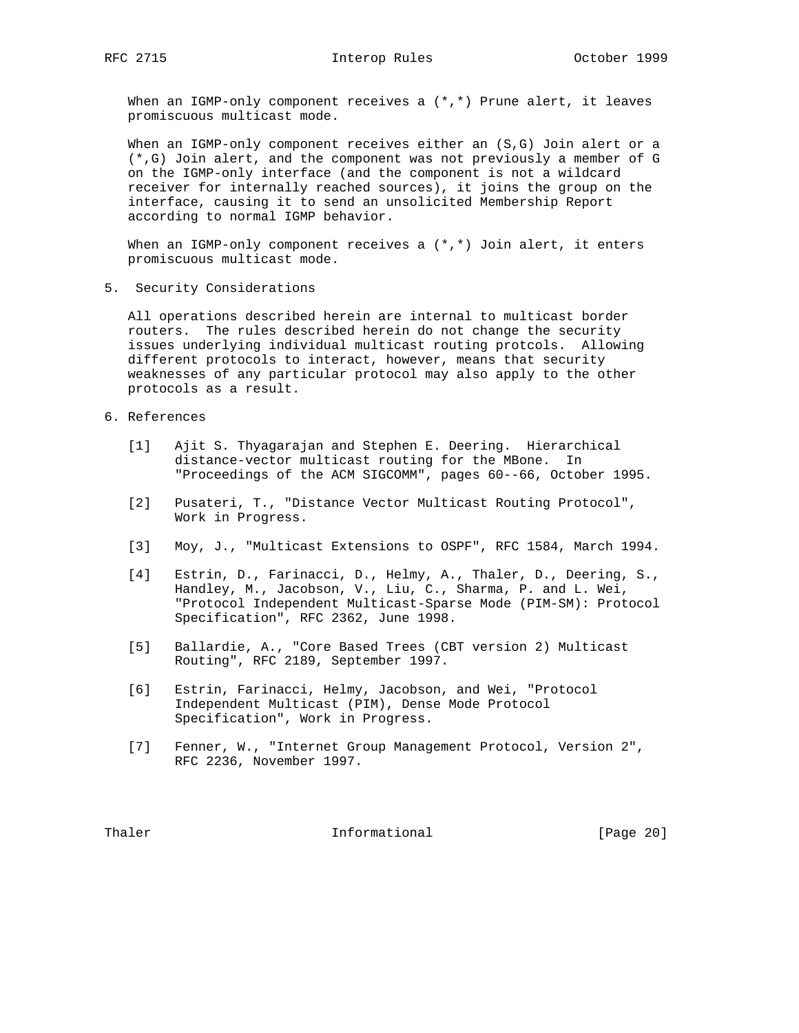RFC 2715 **Interop Rules** October 1999

When an IGMP-only component receives a  $(*,*)$  Prune alert, it leaves promiscuous multicast mode.

When an IGMP-only component receives either an (S,G) Join alert or a (\*,G) Join alert, and the component was not previously a member of G on the IGMP-only interface (and the component is not a wildcard receiver for internally reached sources), it joins the group on the interface, causing it to send an unsolicited Membership Report according to normal IGMP behavior.

When an IGMP-only component receives a  $(*,*)$  Join alert, it enters promiscuous multicast mode.

5. Security Considerations

 All operations described herein are internal to multicast border routers. The rules described herein do not change the security issues underlying individual multicast routing protcols. Allowing different protocols to interact, however, means that security weaknesses of any particular protocol may also apply to the other protocols as a result.

- 6. References
	- [1] Ajit S. Thyagarajan and Stephen E. Deering. Hierarchical distance-vector multicast routing for the MBone. In "Proceedings of the ACM SIGCOMM", pages 60--66, October 1995.
	- [2] Pusateri, T., "Distance Vector Multicast Routing Protocol", Work in Progress.
	- [3] Moy, J., "Multicast Extensions to OSPF", RFC 1584, March 1994.
	- [4] Estrin, D., Farinacci, D., Helmy, A., Thaler, D., Deering, S., Handley, M., Jacobson, V., Liu, C., Sharma, P. and L. Wei, "Protocol Independent Multicast-Sparse Mode (PIM-SM): Protocol Specification", RFC 2362, June 1998.
	- [5] Ballardie, A., "Core Based Trees (CBT version 2) Multicast Routing", RFC 2189, September 1997.
	- [6] Estrin, Farinacci, Helmy, Jacobson, and Wei, "Protocol Independent Multicast (PIM), Dense Mode Protocol Specification", Work in Progress.
	- [7] Fenner, W., "Internet Group Management Protocol, Version 2", RFC 2236, November 1997.

Thaler **Informational** Informational [Page 20]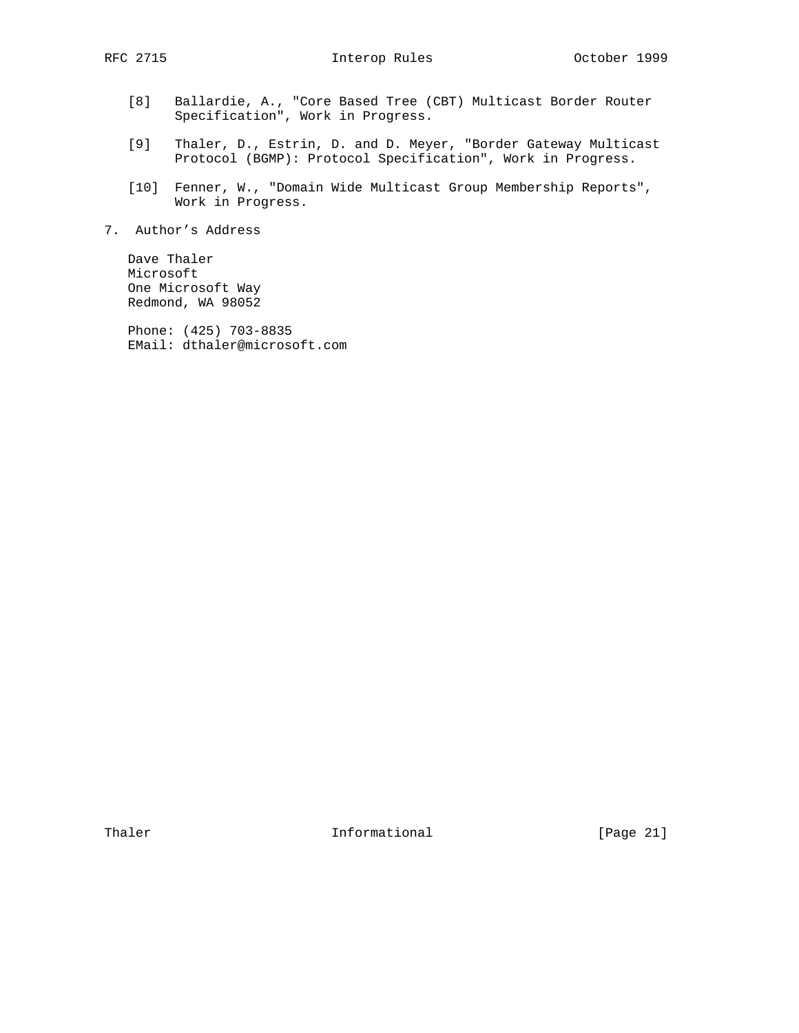- [8] Ballardie, A., "Core Based Tree (CBT) Multicast Border Router Specification", Work in Progress.
	- [9] Thaler, D., Estrin, D. and D. Meyer, "Border Gateway Multicast Protocol (BGMP): Protocol Specification", Work in Progress.
	- [10] Fenner, W., "Domain Wide Multicast Group Membership Reports", Work in Progress.
- 7. Author's Address

 Dave Thaler Microsoft One Microsoft Way Redmond, WA 98052

 Phone: (425) 703-8835 EMail: dthaler@microsoft.com

Thaler **Informational Informational** [Page 21]